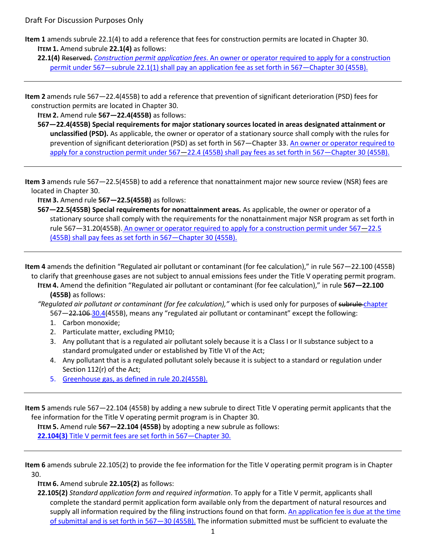**Item 1** amends subrule 22.1(4) to add a reference that fees for construction permits are located in Chapter 30. **ITEM 1.** Amend subrule **22.1(4)** as follows:

**22.1(4)** Reserved. *Construction permit application fees*. An owner or operator required to apply for a construction permit under 567—subrule 22.1(1) shall pay an application fee as set forth in 567—Chapter 30 (455B).

**Item 2** amends rule 567—22.4(455B) to add a reference that prevention of significant deterioration (PSD) fees for construction permits are located in Chapter 30.

**ITEM 2.** Amend rule **567—22.4(455B)** as follows:

**567—22.4(455B) Special requirements for major stationary sources located in areas designated attainment or unclassified (PSD).** As applicable, the owner or operator of a stationary source shall comply with the rules for prevention of significant deterioration (PSD) as set forth in 567—Chapter 33. An owner or operator required to apply for a construction permit under 567—22.4 (455B) shall pay fees as set forth in 567—Chapter 30 (455B).

**Item 3** amends rule 567—22.5(455B) to add a reference that nonattainment major new source review (NSR) fees are located in Chapter 30.

**ITEM 3.** Amend rule **567—22.5(455B)** as follows:

**567—22.5(455B) Special requirements for nonattainment areas.** As applicable, the owner or operator of a stationary source shall comply with the requirements for the nonattainment major NSR program as set forth in rule 567—31.20(455B). An owner or operator required to apply for a construction permit under 567—22.5 (455B) shall pay fees as set forth in 567—Chapter 30 (455B).

**Item 4** amends the definition "Regulated air pollutant or contaminant (for fee calculation)," in rule 567—22.100 (455B) to clarify that greenhouse gases are not subject to annual emissions fees under the Title V operating permit program.

**ITEM 4.** Amend the definition "Regulated air pollutant or contaminant (for fee calculation)," in rule **567—22.100 (455B)** as follows:

*"Regulated air pollutant or contaminant (for fee calculation),"* which is used only for purposes of subrule chapter 567—22.106 30.4(455B), means any "regulated air pollutant or contaminant" except the following:

- 1. Carbon monoxide;
- 2. Particulate matter, excluding PM10;
- 3. Any pollutant that is a regulated air pollutant solely because it is a Class I or II substance subject to a standard promulgated under or established by Title VI of the Act;
- 4. Any pollutant that is a regulated pollutant solely because it is subject to a standard or regulation under Section 112(r) of the Act;
- 5. Greenhouse gas, as defined in rule 20.2(455B).

**Item 5** amends rule 567—22.104 (455B) by adding a new subrule to direct Title V operating permit applicants that the fee information for the Title V operating permit program is in Chapter 30.

**ITEM 5.** Amend rule **567—22.104 (455B)** by adopting a new subrule as follows: **22.104(3)** Title V permit fees are set forth in 567—Chapter 30.

**Item 6** amends subrule 22.105(2) to provide the fee information for the Title V operating permit program is in Chapter 30.

**ITEM 6.** Amend subrule **22.105(2)** as follows:

**22.105(2)** *Standard application form and required information*. To apply for a Title V permit, applicants shall complete the standard permit application form available only from the department of natural resources and supply all information required by the filing instructions found on that form. An application fee is due at the time of submittal and is set forth in 567—30 (455B). The information submitted must be sufficient to evaluate the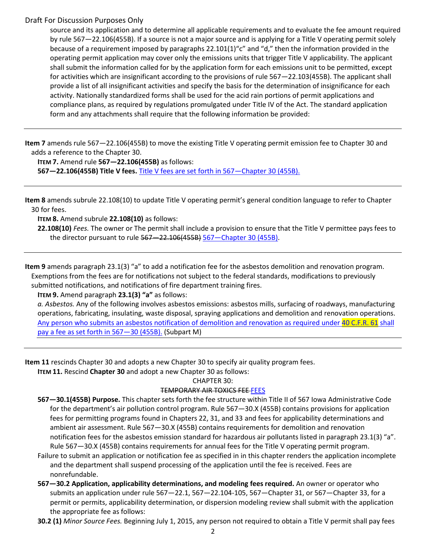### Draft For Discussion Purposes Only

source and its application and to determine all applicable requirements and to evaluate the fee amount required by rule 567—22.106(455B). If a source is not a major source and is applying for a Title V operating permit solely because of a requirement imposed by paragraphs 22.101(1)"c" and "d," then the information provided in the operating permit application may cover only the emissions units that trigger Title V applicability. The applicant shall submit the information called for by the application form for each emissions unit to be permitted, except for activities which are insignificant according to the provisions of rule 567—22.103(455B). The applicant shall provide a list of all insignificant activities and specify the basis for the determination of insignificance for each activity. Nationally standardized forms shall be used for the acid rain portions of permit applications and compliance plans, as required by regulations promulgated under Title IV of the Act. The standard application form and any attachments shall require that the following information be provided:

**Item 7** amends rule 567—22.106(455B) to move the existing Title V operating permit emission fee to Chapter 30 and adds a reference to the Chapter 30.

**ITEM 7.** Amend rule **567—22.106(455B)** as follows:

**567—22.106(455B) Title V fees.** Title V fees are set forth in 567—Chapter 30 (455B).

**Item 8** amends subrule 22.108(10) to update Title V operating permit's general condition language to refer to Chapter 30 for fees.

**ITEM 8.** Amend subrule **22.108(10)** as follows:

**22.108(10)** *Fees.* The owner or The permit shall include a provision to ensure that the Title V permittee pays fees to the director pursuant to rule 567—22.106(455B) 567—Chapter 30 (455B).

**Item 9** amends paragraph 23.1(3) "a" to add a notification fee for the asbestos demolition and renovation program. Exemptions from the fees are for notifications not subject to the federal standards, modifications to previously submitted notifications, and notifications of fire department training fires.

**ITEM 9.** Amend paragraph **23.1(3) "a"** as follows:

*a. Asbestos.* Any of the following involves asbestos emissions: asbestos mills, surfacing of roadways, manufacturing operations, fabricating, insulating, waste disposal, spraying applications and demolition and renovation operations. Any person who submits an asbestos notification of demolition and renovation as required under 40 C.F.R. 61 shall pay a fee as set forth in 567—30 (455B). (Subpart M)

**Item 11** rescinds Chapter 30 and adopts a new Chapter 30 to specify air quality program fees.

**ITEM 11.** Rescind **Chapter 30** and adopt a new Chapter 30 as follows:

CHAPTER 30:

### TEMPORARY AIR TOXICS FEE FEES

- **567—30.1(455B) Purpose.** This chapter sets forth the fee structure within Title II of 567 Iowa Administrative Code for the department's air pollution control program. Rule 567—30.X (455B) contains provisions for application fees for permitting programs found in Chapters 22, 31, and 33 and fees for applicability determinations and ambient air assessment. Rule 567—30.X (455B) contains requirements for demolition and renovation notification fees for the asbestos emission standard for hazardous air pollutants listed in paragraph 23.1(3) "a". Rule 567—30.X (455B) contains requirements for annual fees for the Title V operating permit program.
- Failure to submit an application or notification fee as specified in in this chapter renders the application incomplete and the department shall suspend processing of the application until the fee is received. Fees are nonrefundable.
- **567—30.2 Application, applicability determinations, and modeling fees required.** An owner or operator who submits an application under rule 567—22.1, 567—22.104-105, 567—Chapter 31, or 567—Chapter 33, for a permit or permits, applicability determination, or dispersion modeling review shall submit with the application the appropriate fee as follows:

**30.2 (1)** *Minor Source Fees.* Beginning July 1, 2015, any person not required to obtain a Title V permit shall pay fees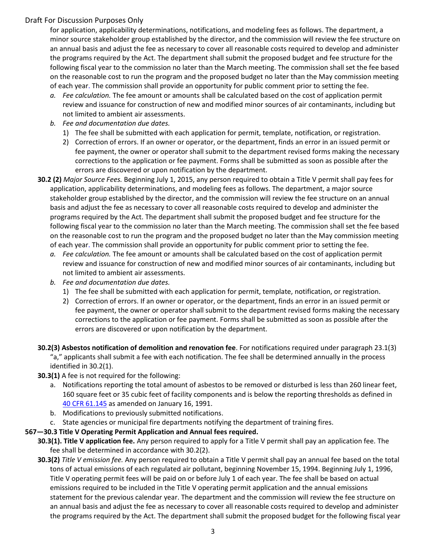# Draft For Discussion Purposes Only

for application, applicability determinations, notifications, and modeling fees as follows. The department, a minor source stakeholder group established by the director, and the commission will review the fee structure on an annual basis and adjust the fee as necessary to cover all reasonable costs required to develop and administer the programs required by the Act. The department shall submit the proposed budget and fee structure for the following fiscal year to the commission no later than the March meeting. The commission shall set the fee based on the reasonable cost to run the program and the proposed budget no later than the May commission meeting of each year. The commission shall provide an opportunity for public comment prior to setting the fee.

- *a. Fee calculation.* The fee amount or amounts shall be calculated based on the cost of application permit review and issuance for construction of new and modified minor sources of air contaminants, including but not limited to ambient air assessments.
- *b. Fee and documentation due dates.*
	- 1) The fee shall be submitted with each application for permit, template, notification, or registration.
	- 2) Correction of errors. If an owner or operator, or the department, finds an error in an issued permit or fee payment, the owner or operator shall submit to the department revised forms making the necessary corrections to the application or fee payment. Forms shall be submitted as soon as possible after the errors are discovered or upon notification by the department.
- **30.2 (2)** *Major Source Fees.* Beginning July 1, 2015, any person required to obtain a Title V permit shall pay fees for application, applicability determinations, and modeling fees as follows. The department, a major source stakeholder group established by the director, and the commission will review the fee structure on an annual basis and adjust the fee as necessary to cover all reasonable costs required to develop and administer the programs required by the Act. The department shall submit the proposed budget and fee structure for the following fiscal year to the commission no later than the March meeting. The commission shall set the fee based on the reasonable cost to run the program and the proposed budget no later than the May commission meeting of each year. The commission shall provide an opportunity for public comment prior to setting the fee.
	- *a. Fee calculation.* The fee amount or amounts shall be calculated based on the cost of application permit review and issuance for construction of new and modified minor sources of air contaminants, including but not limited to ambient air assessments.
	- *b. Fee and documentation due dates.*
		- 1) The fee shall be submitted with each application for permit, template, notification, or registration.
		- 2) Correction of errors. If an owner or operator, or the department, finds an error in an issued permit or fee payment, the owner or operator shall submit to the department revised forms making the necessary corrections to the application or fee payment. Forms shall be submitted as soon as possible after the errors are discovered or upon notification by the department.
- **30.2(3) Asbestos notification of demolition and renovation fee**. For notifications required under paragraph 23.1(3) "a," applicants shall submit a fee with each notification. The fee shall be determined annually in the process identified in 30.2(1).
- **30.3(1)** A fee is not required for the following:
	- a. Notifications reporting the total amount of asbestos to be removed or disturbed is less than 260 linear feet, 160 square feet or 35 cubic feet of facility components and is below the reporting thresholds as defined in [40 CFR 61.145](http://www.ecfr.gov/cgi-bin/text-idx?SID=ae4bc058ffbec499b1330bd288a0ae7b&node=sp40.9.61.m&rgn=div6) as amended on January 16, 1991.
	- b. Modifications to previously submitted notifications.
	- c. State agencies or municipal fire departments notifying the department of training fires.

### **567—30.3 Title V Operating Permit Application and Annual fees required.**

- **30.3(1). Title V application fee.** Any person required to apply for a Title V permit shall pay an application fee. The fee shall be determined in accordance with 30.2(2).
- **30.3(2)** *Title V emission fee.* Any person required to obtain a Title V permit shall pay an annual fee based on the total tons of actual emissions of each regulated air pollutant, beginning November 15, 1994. Beginning July 1, 1996, Title V operating permit fees will be paid on or before July 1 of each year. The fee shall be based on actual emissions required to be included in the Title V operating permit application and the annual emissions statement for the previous calendar year. The department and the commission will review the fee structure on an annual basis and adjust the fee as necessary to cover all reasonable costs required to develop and administer the programs required by the Act. The department shall submit the proposed budget for the following fiscal year